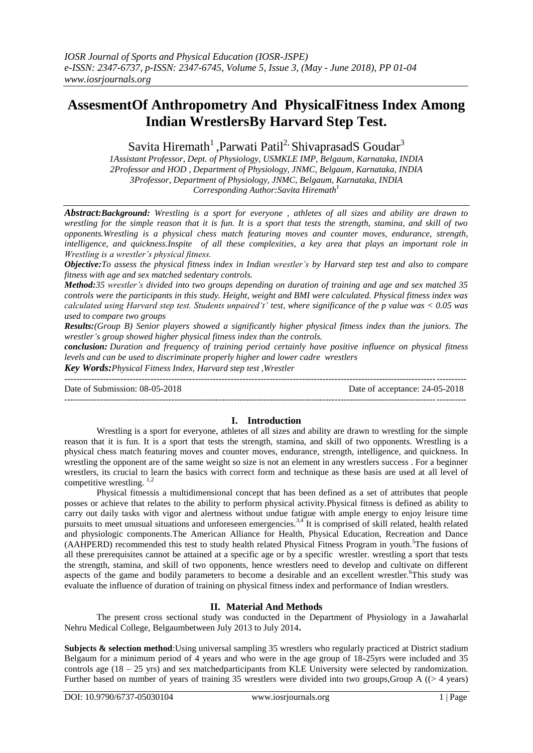# **AssesmentOf Anthropometry And PhysicalFitness Index Among Indian WrestlersBy Harvard Step Test.**

Savita Hiremath<sup>1</sup>, Parwati Patil<sup>2,</sup> ShivaprasadS Goudar<sup>3</sup>

*1Assistant Professor, Dept. of Physiology, USMKLE IMP, Belgaum, Karnataka, INDIA 2Professor and HOD , Department of Physiology, JNMC, Belgaum, Karnataka, INDIA 3Professor, Department of Physiology, JNMC, Belgaum, Karnataka, INDIA Corresponding Author:Savita Hiremath<sup>1</sup>*

*Abstract:Background: Wrestling is a sport for everyone , athletes of all sizes and ability are drawn to wrestling for the simple reason that it is fun. It is a sport that tests the strength, stamina, and skill of two opponents.Wrestling is a physical chess match featuring moves and counter moves, endurance, strength, intelligence, and quickness.Inspite of all these complexities, a key area that plays an important role in Wrestling is a wrestler's physical fitness.*

*Objective:To assess the physical fitness index in Indian wrestler's by Harvard step test and also to compare fitness with age and sex matched sedentary controls.*

*Method:35 wrestler's divided into two groups depending on duration of training and age and sex matched 35 controls were the participants in this study. Height, weight and BMI were calculated. Physical fitness index was calculated using Harvard step test. Students unpaired't' test, where significance of the p value was < 0.05 was used to compare two groups*

*Results:(Group B) Senior players showed a significantly higher physical fitness index than the juniors. The wrestler's group showed higher physical fitness index than the controls.*

*conclusion: Duration and frequency of training period certainly have positive influence on physical fitness levels and can be used to discriminate properly higher and lower cadre wrestlers*

*Key Words:Physical Fitness Index, Harvard step test ,Wrestler*

--------------------------------------------------------------------------------------------------------------------------------------- Date of Submission: 08-05-2018 Date of acceptance: 24-05-2018 ---------------------------------------------------------------------------------------------------------------------------------------

# **I. Introduction**

Wrestling is a sport for everyone, athletes of all sizes and ability are drawn to wrestling for the simple reason that it is fun. It is a sport that tests the strength, stamina, and skill of two opponents. Wrestling is a physical chess match featuring moves and counter moves, endurance, strength, intelligence, and quickness. In wrestling the opponent are of the same weight so size is not an element in any wrestlers success . For a beginner wrestlers, its crucial to learn the basics with correct form and technique as these basis are used at all level of competitive wrestling.<sup>1,2</sup>

Physical fitnessis a multidimensional concept that has been defined as a set of attributes that people posses or achieve that relates to the ability to perform physical activity.Physical fitness is defined as ability to carry out daily tasks with vigor and alertness without undue fatigue with ample energy to enjoy leisure time pursuits to meet unusual situations and unforeseen emergencies.<sup>3,4</sup> It is comprised of skill related, health related and physiologic components.The American Alliance for Health, Physical Education, Recreation and Dance (AAHPERD) recommended this test to study health related Physical Fitness Program in youth.<sup>5</sup>The fusions of all these prerequisites cannot be attained at a specific age or by a specific wrestler. wrestling a sport that tests the strength, stamina, and skill of two opponents, hence wrestlers need to develop and cultivate on different aspects of the game and bodily parameters to become a desirable and an excellent wrestler.<sup>6</sup>This study was evaluate the influence of duration of training on physical fitness index and performance of Indian wrestlers.

# **II. Material And Methods**

The present cross sectional study was conducted in the Department of Physiology in a Jawaharlal Nehru Medical College, Belgaumbetween July 2013 to July 2014**.** 

**Subjects & selection method**:Using universal sampling 35 wrestlers who regularly practiced at District stadium Belgaum for a minimum period of 4 years and who were in the age group of 18-25yrs were included and 35 controls age (18 – 25 yrs) and sex matchedparticipants from KLE University were selected by randomization. Further based on number of years of training 35 wrestlers were divided into two groups,Group A ((> 4 years)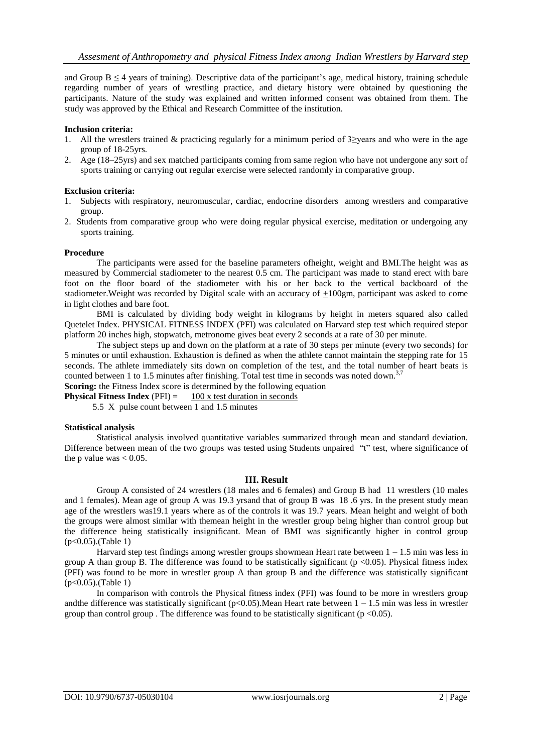and Group  $B \leq 4$  years of training). Descriptive data of the participant's age, medical history, training schedule regarding number of years of wrestling practice, and dietary history were obtained by questioning the participants. Nature of the study was explained and written informed consent was obtained from them. The study was approved by the Ethical and Research Committee of the institution.

## **Inclusion criteria:**

- 1. All the wrestlers trained & practicing regularly for a minimum period of  $3\ge$ years and who were in the age group of 18-25yrs.
- 2. Age (18–25yrs) and sex matched participants coming from same region who have not undergone any sort of sports training or carrying out regular exercise were selected randomly in comparative group.

### **Exclusion criteria:**

- 1. Subjects with respiratory, neuromuscular, cardiac, endocrine disorders among wrestlers and comparative group.
- 2. Students from comparative group who were doing regular physical exercise, meditation or undergoing any sports training.

### **Procedure**

The participants were assed for the baseline parameters ofheight, weight and BMI.The height was as measured by Commercial stadiometer to the nearest 0.5 cm. The participant was made to stand erect with bare foot on the floor board of the stadiometer with his or her back to the vertical backboard of the stadiometer.Weight was recorded by Digital scale with an accuracy of +100gm, participant was asked to come in light clothes and bare foot.

BMI is calculated by dividing body weight in kilograms by height in meters squared also called Quetelet Index. PHYSICAL FITNESS INDEX (PFI) was calculated on Harvard step test which required stepor platform 20 inches high, stopwatch, metronome gives beat every 2 seconds at a rate of 30 per minute.

The subject steps up and down on the platform at a rate of 30 steps per minute (every two seconds) for 5 minutes or until exhaustion. Exhaustion is defined as when the athlete cannot maintain the stepping rate for 15 seconds. The athlete immediately sits down on completion of the test, and the total number of heart beats is counted between 1 to 1.5 minutes after finishing. Total test time in seconds was noted down.<sup>3,7</sup> **Scoring:** the Fitness Index score is determined by the following equation

**Physical Fitness Index** (PFI)  $=$  100 x test duration in seconds

5.5 X pulse count between 1 and 1.5 minutes

#### **Statistical analysis**

Statistical analysis involved quantitative variables summarized through mean and standard deviation. Difference between mean of the two groups was tested using Students unpaired "t" test, where significance of the p value was  $< 0.05$ .

#### **III. Result**

Group A consisted of 24 wrestlers (18 males and 6 females) and Group B had 11 wrestlers (10 males and 1 females). Mean age of group A was 19.3 yrsand that of group B was 18 .6 yrs. In the present study mean age of the wrestlers was19.1 years where as of the controls it was 19.7 years. Mean height and weight of both the groups were almost similar with themean height in the wrestler group being higher than control group but the difference being statistically insignificant. Mean of BMI was significantly higher in control group (p<0.05).(Table 1)

Harvard step test findings among wrestler groups showmean Heart rate between  $1 - 1.5$  min was less in group A than group B. The difference was found to be statistically significant ( $p$  <0.05). Physical fitness index (PFI) was found to be more in wrestler group A than group B and the difference was statistically significant (p<0.05).(Table 1)

In comparison with controls the Physical fitness index (PFI) was found to be more in wrestlers group andthe difference was statistically significant ( $p<0.05$ ). Mean Heart rate between  $1 - 1.5$  min was less in wrestler group than control group . The difference was found to be statistically significant ( $p < 0.05$ ).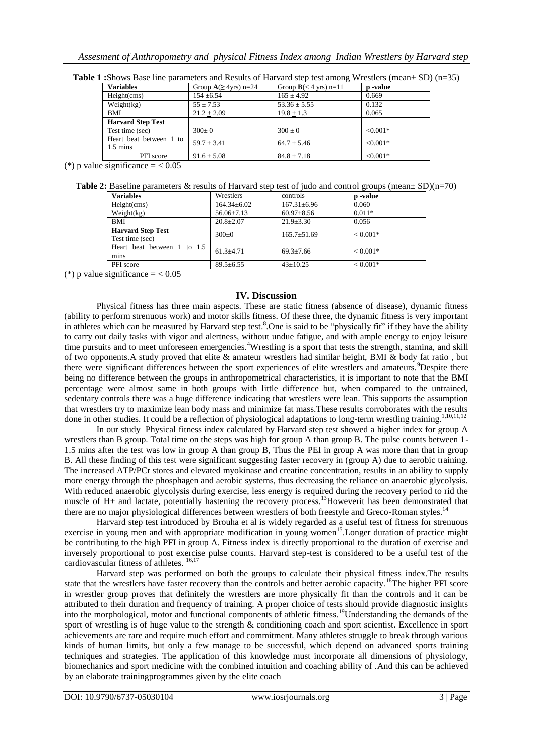| <b>Variables</b>                              | Group $A(\geq 4yrs)$ n=24 | Group $B \leq 4$ yrs) n=11 | <b>p</b> -value |
|-----------------------------------------------|---------------------------|----------------------------|-----------------|
| Height(cms)                                   | $154 \pm 6.54$            | $165 \pm 4.92$             | 0.669           |
| Weight(kg)                                    | $55 \pm 7.53$             | $53.36 \pm 5.55$           | 0.132           |
| BMI                                           | $21.2 + 2.09$             | $19.8 + 1.3$               | 0.065           |
| <b>Harvard Step Test</b>                      |                           |                            |                 |
| Test time (sec)                               | $300+0$                   | $300 + 0$                  | $< 0.001*$      |
| Heart beat between 1 to<br>$1.5 \text{ mins}$ | $59.7 + 3.41$             | $64.7 + 5.46$              | $< 0.001*$      |
| PFI score                                     | $91.6 \pm 5.08$           | $84.8 \pm 7.18$            | $< 0.001*$      |

**Table 1 :**Shows Base line parameters and Results of Harvard step test among Wrestlers (mean± SD) (n=35)

(\*) p value significance  $= < 0.05$ 

| Table 2: Baseline parameters & results of Harvard step test of judo and control groups (mean $\pm$ SD)(n=70) |  |
|--------------------------------------------------------------------------------------------------------------|--|
|--------------------------------------------------------------------------------------------------------------|--|

| <b>Variables</b>                            | Wrestlers         | controls          | p -value   |
|---------------------------------------------|-------------------|-------------------|------------|
| Height(cms)                                 | $164.34 \pm 6.02$ | $167.31 \pm 6.96$ | 0.060      |
| Weight(kg)                                  | $56.06 \pm 7.13$  | $60.97 + 8.56$    | $0.011*$   |
| BMI                                         | $20.8 \pm 2.07$   | $21.9 \pm 3.30$   | 0.056      |
| <b>Harvard Step Test</b><br>Test time (sec) | $300+0$           | $165.7 \pm 51.69$ | $< 0.001*$ |
| Heart beat between 1 to 1.5<br>mins         | $61.3 \pm 4.71$   | $69.3 \pm 7.66$   | $< 0.001*$ |
| PFI score                                   | $89.5 \pm 6.55$   | $43 \pm 10.25$    | $< 0.001*$ |

(\*) p value significance  $= < 0.05$ 

# **IV. Discussion**

Physical fitness has three main aspects. These are static fitness (absence of disease), dynamic fitness (ability to perform strenuous work) and motor skills fitness. Of these three, the dynamic fitness is very important in athletes which can be measured by Harvard step test.<sup>8</sup>. One is said to be "physically fit" if they have the ability to carry out daily tasks with vigor and alertness, without undue fatigue, and with ample energy to enjoy leisure time pursuits and to meet unforeseen emergencies.<sup>4</sup>Wrestling is a sport that tests the strength, stamina, and skill of two opponents.A study proved that elite & amateur wrestlers had similar height, BMI & body fat ratio , but there were significant differences between the sport experiences of elite wrestlers and amateurs.<sup>9</sup>Despite there being no difference between the groups in anthropometrical characteristics, it is important to note that the BMI percentage were almost same in both groups with little difference but, when compared to the untrained, sedentary controls there was a huge difference indicating that wrestlers were lean. This supports the assumption that wrestlers try to maximize lean body mass and minimize fat mass.These results corroborates with the results done in other studies. It could be a reflection of physiological adaptations to long-term wrestling training.<sup>1,10,11,12</sup>

In our study Physical fitness index calculated by Harvard step test showed a higher index for group A wrestlers than B group. Total time on the steps was high for group A than group B. The pulse counts between 1- 1.5 mins after the test was low in group A than group B, Thus the PEI in group A was more than that in group B. All these finding of this test were significant suggesting faster recovery in (group A) due to aerobic training. The increased ATP/PCr stores and elevated myokinase and creatine concentration, results in an ability to supply more energy through the phosphagen and aerobic systems, thus decreasing the reliance on anaerobic glycolysis. With reduced anaerobic glycolysis during exercise, less energy is required during the recovery period to rid the muscle of H+ and lactate, potentially hastening the recovery process.<sup>13</sup>Howeverit has been demonstrated that there are no major physiological differences between wrestlers of both freestyle and Greco-Roman styles.<sup>14</sup>

Harvard step test introduced by Brouha et al is widely regarded as a useful test of fitness for strenuous exercise in young men and with appropriate modification in young women<sup>15</sup>. Longer duration of practice might be contributing to the high PFI in group A. Fitness index is directly proportional to the duration of exercise and inversely proportional to post exercise pulse counts. Harvard step-test is considered to be a useful test of the cardiovascular fitness of athletes.  $16,17$ 

Harvard step was performed on both the groups to calculate their physical fitness index.The results state that the wrestlers have faster recovery than the controls and better aerobic capacity.<sup>18</sup>The higher PFI score in wrestler group proves that definitely the wrestlers are more physically fit than the controls and it can be attributed to their duration and frequency of training. A proper choice of tests should provide diagnostic insights into the morphological, motor and functional components of athletic fitness.<sup>19</sup>Understanding the demands of the sport of wrestling is of huge value to the strength & conditioning coach and sport scientist. Excellence in sport achievements are rare and require much effort and commitment. Many athletes struggle to break through various kinds of human limits, but only a few manage to be successful, which depend on advanced sports training techniques and strategies. The application of this knowledge must incorporate all dimensions of physiology, biomechanics and sport medicine with the combined intuition and coaching ability of .And this can be achieved by an elaborate trainingprogrammes given by the elite coach